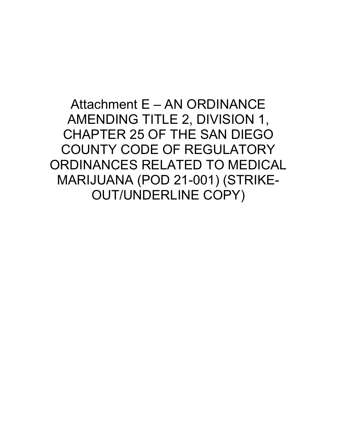Attachment E – AN ORDINANCE AMENDING TITLE 2, DIVISION 1, CHAPTER 25 OF THE SAN DIEGO COUNTY CODE OF REGULATORY ORDINANCES RELATED TO MEDICAL MARIJUANA (POD 21-001) (STRIKE-OUT/UNDERLINE COPY)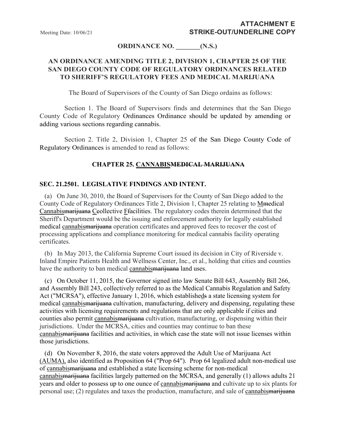#### **ORDINANCE NO. \_\_\_\_\_\_\_(N.S.)**

## **AN ORDINANCE AMENDING TITLE 2, DIVISION 1, CHAPTER 25 OF THE SAN DIEGO COUNTY CODE OF REGULATORY ORDINANCES RELATED TO SHERIFF'S REGULATORY FEES AND MEDICAL MARIJUANA**

The Board of Supervisors of the County of San Diego ordains as follows:

Section 1. The Board of Supervisors finds and determines that the San Diego County Code of Regulatory Ordinances Ordinance should be updated by amending or adding various sections regarding cannabis.

Section 2. Title 2, Division 1, Chapter 25 of the San Diego County Code of Regulatory Ordinances is amended to read as follows:

#### **CHAPTER 25. CANNABISMEDICAL MARIJUANA**

#### **SEC. 21.2501. LEGISLATIVE FINDINGS AND INTENT.**

 (a) On June 30, 2010, the Board of Supervisors for the County of San Diego added to the County Code of Regulatory Ordinances Title 2, Division 1, Chapter 25 relating to Mmedical Cannabismarijuana Ceollective Ffacilities. The regulatory codes therein determined that the Sheriff's Department would be the issuing and enforcement authority for legally established medical cannabismarijuana operation certificates and approved fees to recover the cost of processing applications and compliance monitoring for medical cannabis facility operating certificates.

 (b) In May 2013, the California Supreme Court issued its decision in City of Riverside v. Inland Empire Patients Health and Wellness Center, Inc., et al., holding that cities and counties have the authority to ban medical cannabismarijuana land uses.

 (c) On October 11, 2015, the Governor signed into law Senate Bill 643, Assembly Bill 266, and Assembly Bill 243, collectively referred to as the Medical Cannabis Regulation and Safety Act ("MCRSA"), effective January 1, 2016, which establisheds a state licensing system for medical cannabismarijuana cultivation, manufacturing, delivery and dispensing, regulating these activities with licensing requirements and regulations that are only applicable if cities and counties also permit cannabismarijuana cultivation, manufacturing, or dispensing within their jurisdictions. Under the MCRSA, cities and counties may continue to ban these cannabismarijuana facilities and activities, in which case the state will not issue licenses within those jurisdictions.

 (d) On November 8, 2016, the state voters approved the Adult Use of Marijuana Act (AUMA), also identified as Proposition 64 ("Prop 64"). Prop 64 legalized adult non-medical use of cannabismarijuana and established a state licensing scheme for non-medical cannabismarijuana facilities largely patterned on the MCRSA, and generally (1) allows adults 21 years and older to possess up to one ounce of cannabismarijuana and cultivate up to six plants for personal use; (2) regulates and taxes the production, manufacture, and sale of cannabismarijuana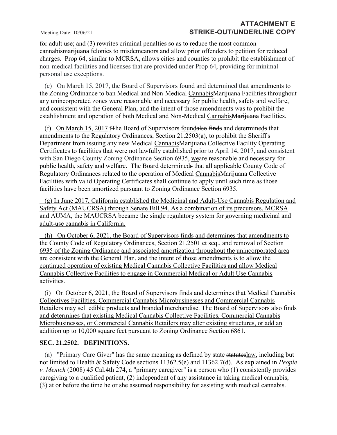for adult use; and (3) rewrites criminal penalties so as to reduce the most common cannabismarijuana felonies to misdemeanors and allow prior offenders to petition for reduced charges. Prop 64, similar to MCRSA, allows cities and counties to prohibit the establishment of non-medical facilities and licenses that are provided under Prop 64, providing for minimal personal use exceptions.

 (e) On March 15, 2017, the Board of Supervisors found and determined that amendments to the Zoning Ordinance to ban Medical and Non-Medical Cannabis Marijuana Facilities throughout any unincorporated zones were reasonable and necessary for public health, safety and welfare, and consistent with the General Plan, and the intent of those amendments was to prohibit the establishment and operation of both Medical and Non-Medical CannabisMarijuana Facilities.

(f) On March 15, 2017 t<sub>T</sub>he Board of Supervisors foundalso finds and determineds that amendments to the Regulatory Ordinances, Section [21.2503\(](https://codelibrary.amlegal.com/codes/san_diego/latest/sandiego_regs/0-0-0-74215#JD_21.2503)a), to prohibit the Sheriff's Department from issuing any new Medical Cannabis Marijuana Collective Facility Operating Certificates to facilities that were not lawfully established prior to April 14, 2017, and consistent with San Diego County Zoning Ordinance Section 6935, weare reasonable and necessary for public health, safety and welfare. The Board determineds that all applicable County Code of Regulatory Ordinances related to the operation of Medical CannabisMarijuana Collective Facilities with valid Operating Certificates shall continue to apply until such time as those facilities have been amortized pursuant to Zoning Ordinance Section 6935.

 (g) In June 2017, California established the Medicinal and Adult-Use Cannabis Regulation and Safety Act (MAUCRSA) through [Senate Bill 94.](https://leginfo.legislature.ca.gov/faces/billTextClient.xhtml?bill_id=201720180SB94) As a combination of its precursors, MCRSA and AUMA, the MAUCRSA became the single regulatory system for governing medicinal and adult-use cannabis in California.

 (h) On October 6, 2021, the Board of Supervisors finds and determines that amendments to the County Code of Regulatory Ordinances, Section 21.2501 et seq., and removal of Section 6935 of the Zoning Ordinance and associated amortization throughout the unincorporated area are consistent with the General Plan, and the intent of those amendments is to allow the continued operation of existing Medical Cannabis Collective Facilities and allow Medical Cannabis Collective Facilities to engage in Commercial Medical or Adult Use Cannabis activities.

(i) On October 6, 2021, the Board of Supervisors finds and determines that Medical Cannabis Collectives Facilities, Commercial Cannabis Microbusinesses and Commercial Cannabis Retailers may sell edible products and branded merchandise. The Board of Supervisors also finds and determines that existing Medical Cannabis Collective Facilities, Commercial Cannabis Microbusinesses, or Commercial Cannabis Retailers may alter existing structures, or add an addition up to 10,000 square feet pursuant to Zoning Ordinance Section 6861.

### **SEC. 21.2502. DEFINITIONS.**

 (a) "Primary Care Giver" has the same meaning as defined by state statuteslaw, including but not limited to Health & Safety Code sections 11362.5(e) and 11362.7(d). As explained in *People v. Mentch* (2008) 45 Cal.4th 274, a "primary caregiver" is a person who (1) consistently provides caregiving to a qualified patient, (2) independent of any assistance in taking medical cannabis, (3) at or before the time he or she assumed responsibility for assisting with medical cannabis.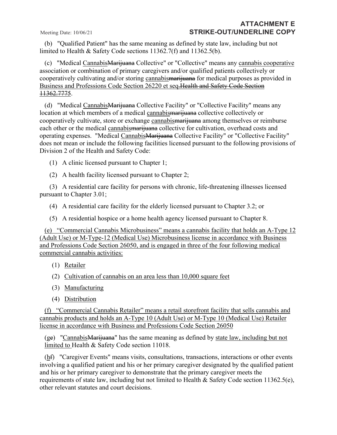(b) "Qualified Patient" has the same meaning as defined by state law, including but not limited to Health & Safety Code sections 11362.7(f) and 11362.5(b).

 (c) "Medical CannabisMarijuana Collective" or "Collective" means any cannabis cooperative association or combination of primary caregivers and/or qualified patients collectively or cooperatively cultivating and/or storing cannabismarijuana for medical purposes as provided in Business and Professions Code Section 26220 et seq.Health and Safety Code Section 11362.7775.

 (d) "Medical CannabisMarijuana Collective Facility" or "Collective Facility" means any location at which members of a medical cannabismarijuana collective collectively or cooperatively cultivate, store or exchange cannabismarijuana among themselves or reimburse each other or the medical cannabismarijuana collective for cultivation, overhead costs and operating expenses. "Medical CannabisMarijuana Collective Facility" or "Collective Facility" does not mean or include the following facilities licensed pursuant to the following provisions of Division 2 of the Health and Safety Code:

(1) A clinic licensed pursuant to Chapter 1;

(2) A health facility licensed pursuant to Chapter 2;

 (3) A residential care facility for persons with chronic, life-threatening illnesses licensed pursuant to Chapter 3.01;

(4) A residential care facility for the elderly licensed pursuant to Chapter 3.2; or

(5) A residential hospice or a home health agency licensed pursuant to Chapter 8.

(e) "Commercial Cannabis Microbusiness" means a cannabis facility that holds an A-Type 12 (Adult Use) or M-Type-12 (Medical Use) Microbusiness license in accordance with Business and Professions Code Section 26050, and is engaged in three of the four following medical commercial cannabis activities:

- (1) Retailer
- (2) Cultivation of cannabis on an area less than 10,000 square feet
- (3) Manufacturing
- (4) Distribution

(f) "Commercial Cannabis Retailer" means a retail storefront facility that sells cannabis and cannabis products and holds an A-Type 10 (Adult Use) or M-Type 10 (Medical Use) Retailer license in accordance with Business and Professions Code Section 26050

 $(ge)$  "Cannabis<del>Marijuana</del>" has the same meaning as defined by state law, including but not limited to Health & Safety Code section 11018.

 (hf) "Caregiver Events" means visits, consultations, transactions, interactions or other events involving a qualified patient and his or her primary caregiver designated by the qualified patient and his or her primary caregiver to demonstrate that the primary caregiver meets the requirements of state law, including but not limited to Health & Safety Code section 11362.5(e), other relevant statutes and court decisions.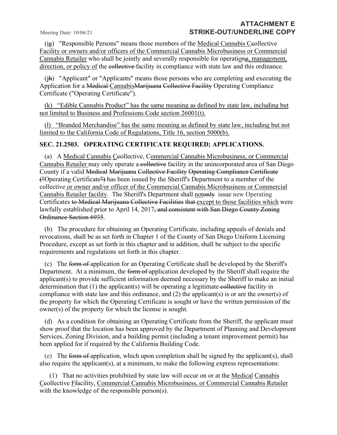$(i)$  "Responsible Persons" means those members of the Medical Cannabis Ceollective Facility or owners and/or officers of the Commercial Cannabis Microbusiness or Commercial Cannabis Retailer who shall be jointly and severally responsible for operationg, management, direction, or policy of the collective facility in compliance with state law and this ordinance.

 (jh) "Applicant" or "Applicants" means those persons who are completing and executing the Application for a Medical CannabisMarijuana Collective Facility Operating Compliance Certificate ("Operating Certificate").

(k) "Edible Cannabis Product" has the same meaning as defined by state law, including but not limited to Business and Professions Code section 26001(t).

(l) "Branded Merchandise" has the same meaning as defined by state law, including but not limited to the California Code of Regulations, Title 16, section 5000(b).

#### **SEC. 21.2503. OPERATING CERTIFICATE REQUIRED; APPLICATIONS.**

(a) A Medical Cannabis Ceollective, Commercial Cannabis Microbusiness, or Commercial Cannabis Retailer may only operate a collective facility in the unincorporated area of San Diego County if a valid Medical Marijuana Collective Facility Operating Compliance Certificate ("Operating Certificate") has been issued by the Sheriff's Department to a member of the collective or owner and/or officer of the Commercial Cannabis Microbusiness or Commercial Cannabis Retailer facility. The Sheriff's Department shall notonly issue new Operating Certificates to Medical Marijuana Collective Facilities that except to those facilities which were lawfully established prior to April 14, 2017<del>, and consistent with San Diego County Zoning</del> Ordinance Section 6935.

(b) The procedure for obtaining an Operating Certificate, including appeals of denials and revocations, shall be as set forth in Chapter 1 of the County of San Diego Uniform Licensing Procedure, except as set forth in this chapter and in addition, shall be subject to the specific requirements and regulations set forth in this chapter.

 (c) The form of application for an Operating Certificate shall be developed by the Sheriff's Department. At a minimum, the form of application developed by the Sheriff shall require the applicant(s) to provide sufficient information deemed necessary by the Sheriff to make an initial determination that  $(1)$  the applicant(s) will be operating a legitimate collective facility in compliance with state law and this ordinance, and (2) the applicant(s) is or are the owner(s) of the property for which the Operating Certificate is sought or have the written permission of the owner(s) of the property for which the license is sought.

 (d) As a condition for obtaining an Operating Certificate from the Sheriff, the applicant must show proof that the location has been approved by the Department of Planning and Development Services, Zoning Division, and a building permit (including a tenant improvement permit) has been applied for if required by the California Building Code.

(e) The form of application, which upon completion shall be signed by the applicant(s), shall also require the applicant(s), at a minimum, to make the following express representations:

 (1) That no activities prohibited by state law will occur on or at the Medical Cannabis Ceollective Ffacility, Commercial Cannabis Microbusiness, or Commercial Cannabis Retailer with the knowledge of the responsible person(s).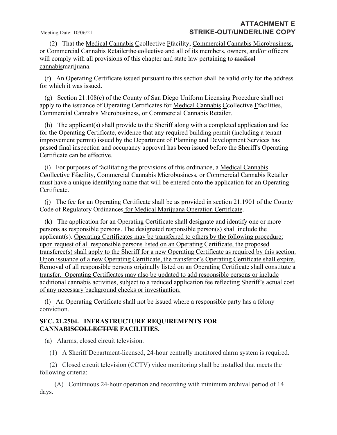(2) That the Medical Cannabis Ceollective Ffacility, Commercial Cannabis Microbusiness, or Commercial Cannabis Retailerthe collective and all of its members, owners, and/or officers will comply with all provisions of this chapter and state law pertaining to medical cannabismarijuana.

 (f) An Operating Certificate issued pursuant to this section shall be valid only for the address for which it was issued.

 (g) Section [21.108\(](https://codelibrary.amlegal.com/codes/san_diego/latest/sandiego_regs/0-0-0-72454#JD_21.108)c) of the County of San Diego Uniform Licensing Procedure shall not apply to the issuance of Operating Certificates for Medical Cannabis Ceollective Ffacilities, Commercial Cannabis Microbusiness, or Commercial Cannabis Retailer.

 (h) The applicant(s) shall provide to the Sheriff along with a completed application and fee for the Operating Certificate, evidence that any required building permit (including a tenant improvement permit) issued by the Department of Planning and Development Services has passed final inspection and occupancy approval has been issued before the Sheriff's Operating Certificate can be effective.

 (i) For purposes of facilitating the provisions of this ordinance, a Medical Cannabis Ceollective Ffacility, Commercial Cannabis Microbusiness, or Commercial Cannabis Retailer must have a unique identifying name that will be entered onto the application for an Operating Certificate.

 (j) The fee for an Operating Certificate shall be as provided in section [21.1901](https://codelibrary.amlegal.com/codes/san_diego/latest/sandiego_regs/0-0-0-73819#JD_21.1901) of the County Code of Regulatory Ordinances for Medical Marijuana Operation Certificate.

 (k) The application for an Operating Certificate shall designate and identify one or more persons as responsible persons. The designated responsible person(s) shall include the applicant(s). Operating Certificates may be transferred to others by the following procedure: upon request of all responsible persons listed on an Operating Certificate, the proposed transferee(s) shall apply to the Sheriff for a new Operating Certificate as required by this section. Upon issuance of a new Operating Certificate, the transferor's Operating Certificate shall expire. Removal of all responsible persons originally listed on an Operating Certificate shall constitute a transfer. Operating Certificates may also be updated to add responsible persons or include additional cannabis activities, subject to a reduced application fee reflecting Sheriff's actual cost of any necessary background checks or investigation.

 (l) An Operating Certificate shall not be issued where a responsible party has a felony conviction.

#### **SEC. 21.2504. INFRASTRUCTURE REQUIREMENTS FOR CANNABISCOLLECTIVE FACILITIES.**

(a) Alarms, closed circuit television.

(1) A Sheriff Department-licensed, 24-hour centrally monitored alarm system is required.

 (2) Closed circuit television (CCTV) video monitoring shall be installed that meets the following criteria:

 (A) Continuous 24-hour operation and recording with minimum archival period of 14 days.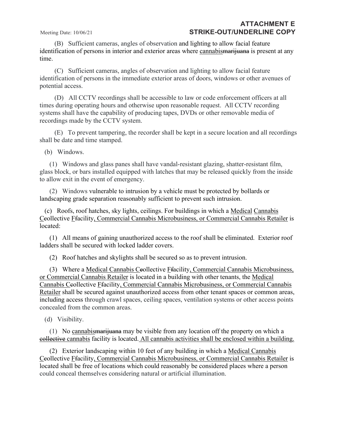(B) Sufficient cameras, angles of observation and lighting to allow facial feature identification of persons in interior and exterior areas where cannabismarijuana is present at any time.

 (C) Sufficient cameras, angles of observation and lighting to allow facial feature identification of persons in the immediate exterior areas of doors, windows or other avenues of potential access.

 (D) All CCTV recordings shall be accessible to law or code enforcement officers at all times during operating hours and otherwise upon reasonable request. All CCTV recording systems shall have the capability of producing tapes, DVDs or other removable media of recordings made by the CCTV system.

 (E) To prevent tampering, the recorder shall be kept in a secure location and all recordings shall be date and time stamped.

(b) Windows.

 (1) Windows and glass panes shall have vandal-resistant glazing, shatter-resistant film, glass block, or bars installed equipped with latches that may be released quickly from the inside to allow exit in the event of emergency.

 (2) Windows vulnerable to intrusion by a vehicle must be protected by bollards or landscaping grade separation reasonably sufficient to prevent such intrusion.

 (c) Roofs, roof hatches, sky lights, ceilings. For buildings in which a Medical Cannabis Ceollective Ffacility, Commercial Cannabis Microbusiness, or Commercial Cannabis Retailer is located:

 (1) All means of gaining unauthorized access to the roof shall be eliminated. Exterior roof ladders shall be secured with locked ladder covers.

(2) Roof hatches and skylights shall be secured so as to prevent intrusion.

(3) Where a Medical Cannabis Ceollective *Ffacility*, Commercial Cannabis Microbusiness, or Commercial Cannabis Retailer is located in a building with other tenants, the Medical Cannabis Ceollective Ffacility, Commercial Cannabis Microbusiness, or Commercial Cannabis Retailer shall be secured against unauthorized access from other tenant spaces or common areas, including access through crawl spaces, ceiling spaces, ventilation systems or other access points concealed from the common areas.

(d) Visibility.

 (1) No cannabismarijuana may be visible from any location off the property on which a collective cannabis facility is located. All cannabis activities shall be enclosed within a building.

 (2) Exterior landscaping within 10 feet of any building in which a Medical Cannabis Ceollective Ffacility, Commercial Cannabis Microbusiness, or Commercial Cannabis Retailer is located shall be free of locations which could reasonably be considered places where a person could conceal themselves considering natural or artificial illumination.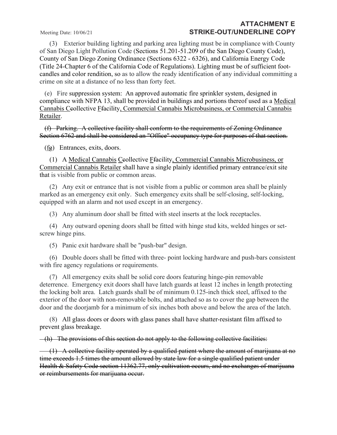(3) Exterior building lighting and parking area lighting must be in compliance with County of San Diego Light Pollution Code (Sections [51.201-](https://codelibrary.amlegal.com/codes/san_diego/latest/sandiego_regs/0-0-0-76852#JD_51.201)[51.209](https://codelibrary.amlegal.com/codes/san_diego/latest/sandiego_regs/0-0-0-76919#JD_51.209) of the San Diego County Code), County of San Diego Zoning Ordinance (Sections 6322 - 6326), and California Energy Code (Title 24-Chapter 6 of the California Code of Regulations). Lighting must be of sufficient footcandles and color rendition, so as to allow the ready identification of any individual committing a crime on site at a distance of no less than forty feet.

 (e) Fire suppression system: An approved automatic fire sprinkler system, designed in compliance with NFPA 13, shall be provided in buildings and portions thereof used as a Medical Cannabis Ceollective Ffacility, Commercial Cannabis Microbusiness, or Commercial Cannabis Retailer.

 (f) Parking. A collective facility shall conform to the requirements of Zoning Ordinance Section 6762 and shall be considered an "Office" occupancy type for purposes of that section.

(fg) Entrances, exits, doors.

(1) A Medical Cannabis Ceollective Fracility, Commercial Cannabis Microbusiness, or Commercial Cannabis Retailer shall have a single plainly identified primary entrance/exit site that is visible from public or common areas.

 (2) Any exit or entrance that is not visible from a public or common area shall be plainly marked as an emergency exit only. Such emergency exits shall be self-closing, self-locking, equipped with an alarm and not used except in an emergency.

(3) Any aluminum door shall be fitted with steel inserts at the lock receptacles.

 (4) Any outward opening doors shall be fitted with hinge stud kits, welded hinges or setscrew hinge pins.

(5) Panic exit hardware shall be "push-bar" design.

 (6) Double doors shall be fitted with three- point locking hardware and push-bars consistent with fire agency regulations or requirements.

 (7) All emergency exits shall be solid core doors featuring hinge-pin removable deterrence. Emergency exit doors shall have latch guards at least 12 inches in length protecting the locking bolt area. Latch guards shall be of minimum 0.125-inch thick steel, affixed to the exterior of the door with non-removable bolts, and attached so as to cover the gap between the door and the doorjamb for a minimum of six inches both above and below the area of the latch.

 (8) All glass doors or doors with glass panes shall have shatter-resistant film affixed to prevent glass breakage.

 $(-h)$  The provisions of this section do not apply to the following collective facilities:

 (1) A collective facility operated by a qualified patient where the amount of marijuana at no time exceeds 1.5 times the amount allowed by state law for a single qualified patient under Health & Safety Code section 11362.77, only cultivation occurs, and no exchanges of marijuana or reimbursements for marijuana occur.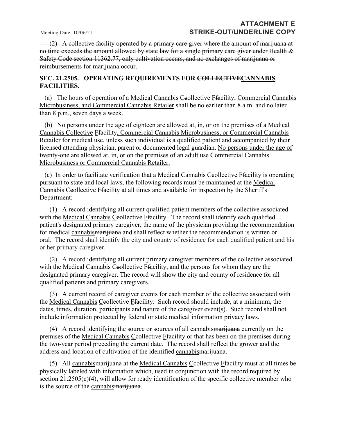(2) A collective facility operated by a primary care giver where the amount of marijuana at no time exceeds the amount allowed by state law for a single primary care giver under Health & Safety Code section 11362.77, only cultivation occurs, and no exchanges of marijuana or reimbursements for marijuana occur.

#### **SEC. 21.2505. OPERATING REQUIREMENTS FOR COLLECTIVECANNABIS FACILITIES.**

(a) The hours of operation of a Medical Cannabis Ceollective Ffacility, Commercial Cannabis Microbusiness, and Commercial Cannabis Retailer shall be no earlier than 8 a.m. and no later than 8 p.m., seven days a week.

 (b) No persons under the age of eighteen are allowed at, in, or on the premises of a Medical Cannabis Collective Ffacility, Commercial Cannabis Microbusiness, or Commercial Cannabis Retailer for medical use, unless such individual is a qualified patient and accompanied by their licensed attending physician, parent or documented legal guardian. No persons under the age of twenty-one are allowed at, in, or on the premises of an adult use Commercial Cannabis Microbusiness or Commercial Cannabis Retailer.

 (c) In order to facilitate verification that a Medical Cannabis Ccollective Ffacility is operating pursuant to state and local laws, the following records must be maintained at the Medical Cannabis Ceollective Ffacility at all times and available for inspection by the Sheriff's Department:

 (1) A record identifying all current qualified patient members of the collective associated with the Medical Cannabis Ceollective Ffacility. The record shall identify each qualified patient's designated primary caregiver, the name of the physician providing the recommendation for medical cannabismarijuana and shall reflect whether the recommendation is written or oral. The record shall identify the city and county of residence for each qualified patient and his or her primary caregiver.

 (2) A record identifying all current primary caregiver members of the collective associated with the Medical Cannabis Ceollective Ffacility, and the persons for whom they are the designated primary caregiver. The record will show the city and county of residence for all qualified patients and primary caregivers.

 (3) A current record of caregiver events for each member of the collective associated with the Medical Cannabis Ceollective Ffacility. Such record should include, at a minimum, the dates, times, duration, participants and nature of the caregiver event(s). Such record shall not include information protected by federal or state medical information privacy laws.

(4) A record identifying the source or sources of all cannabis<del>marijuana</del> currently on the premises of the Medical Cannabis Ceollective Ffacility or that has been on the premises during the two-year period preceding the current date. The record shall reflect the grower and the address and location of cultivation of the identified cannabismarijuana.

 (5) All cannabismarijuana at the Medical Cannabis Ccollective Ffacility must at all times be physically labeled with information which, used in conjunction with the record required by section [21.2505\(](https://codelibrary.amlegal.com/codes/san_diego/latest/sandiego_regs/0-0-0-74266#JD_21.2505)c)(4), will allow for ready identification of the specific collective member who is the source of the cannabismarijuana.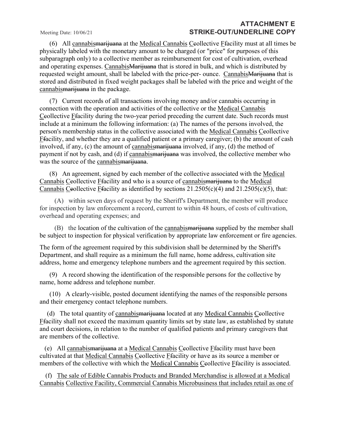(6) All cannabismarijuana at the Medical Cannabis Ccollective Ffacility must at all times be physically labeled with the monetary amount to be charged (or "price" for purposes of this subparagraph only) to a collective member as reimbursement for cost of cultivation, overhead and operating expenses. CannabisMarijuana that is stored in bulk, and which is distributed by requested weight amount, shall be labeled with the price-per- ounce. Cannabis Marijuana that is stored and distributed in fixed weight packages shall be labeled with the price and weight of the cannabis<del>marijuana</del> in the package.

 (7) Current records of all transactions involving money and/or cannabis occurring in connection with the operation and activities of the collective or the Medical Cannabis Ceollective Ffacility during the two-year period preceding the current date. Such records must include at a minimum the following information: (a) The names of the persons involved, the person's membership status in the collective associated with the Medical Cannabis Ceollective Ffacility, and whether they are a qualified patient or a primary caregiver; (b) the amount of cash involved, if any, (c) the amount of cannabismarijuana involved, if any, (d) the method of payment if not by cash, and (d) if cannabismarijuana was involved, the collective member who was the source of the cannabismarijuana.

 (8) An agreement, signed by each member of the collective associated with the Medical Cannabis Ceollective Ffacility and who is a source of cannabismarijuana to the Medical Cannabis Ceollective Ffacility as identified by sections  $21.2505(c)(4)$  $21.2505(c)(4)$  and  $21.2505(c)(5)$ , that:

 (A) within seven days of request by the Sheriff's Department, the member will produce for inspection by law enforcement a record, current to within 48 hours, of costs of cultivation, overhead and operating expenses; and

 (B) the location of the cultivation of the cannabismarijuana supplied by the member shall be subject to inspection for physical verification by appropriate law enforcement or fire agencies.

The form of the agreement required by this subdivision shall be determined by the Sheriff's Department, and shall require as a minimum the full name, home address, cultivation site address, home and emergency telephone numbers and the agreement required by this section.

 (9) A record showing the identification of the responsible persons for the collective by name, home address and telephone number.

 (10) A clearly-visible, posted document identifying the names of the responsible persons and their emergency contact telephone numbers.

(d) The total quantity of cannabismarijuana located at any Medical Cannabis Ceollective Ffacility shall not exceed the maximum quantity limits set by state law, as established by statute and court decisions, in relation to the number of qualified patients and primary caregivers that are members of the collective.

 (e) All cannabismarijuana at a Medical Cannabis Ccollective Ffacility must have been cultivated at that Medical Cannabis Ceollective Ffacility or have as its source a member or members of the collective with which the Medical Cannabis Ceollective Ffacility is associated.

 (f) The sale of Edible Cannabis Products and Branded Merchandise is allowed at a Medical Cannabis Collective Facility, Commercial Cannabis Microbusiness that includes retail as one of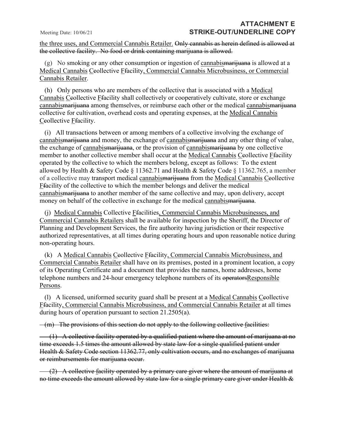the three uses, and Commercial Cannabis Retailer. Only cannabis as herein defined is allowed at the collective facility. No food or drink containing marijuana is allowed.

 $(g)$  No smoking or any other consumption or ingestion of cannabismarijuana is allowed at a Medical Cannabis Ceollective Ffacility, Commercial Cannabis Microbusiness, or Commercial Cannabis Retailer.

 (h) Only persons who are members of the collective that is associated with a Medical Cannabis Ceollective Ffacility shall collectively or cooperatively cultivate, store or exchange cannabismarijuana among themselves, or reimburse each other or the medical cannabismarijuana collective for cultivation, overhead costs and operating expenses, at the Medical Cannabis Ceollective Ffacility.

 (i) All transactions between or among members of a collective involving the exchange of cannabismarijuana and money, the exchange of cannabismarijuana and any other thing of value, the exchange of cannabismarijuana, or the provision of cannabismarijuana by one collective member to another collective member shall occur at the Medical Cannabis Ceollective Ffacility operated by the collective to which the members belong, except as follows: To the extent allowed by Health & Safety Code § 11362.71 and Health & Safety Code § 11362.765, a member of a collective may transport medical cannabismarijuana from the Medical Cannabis Ceollective Ffacility of the collective to which the member belongs and deliver the medical cannabismarijuana to another member of the same collective and may, upon delivery, accept money on behalf of the collective in exchange for the medical cannabismarijuana.

 (j) Medical Cannabis Collective Ffacilities, Commercial Cannabis Microbusinesses, and Commercial Cannabis Retailers shall be available for inspection by the Sheriff, the Director of Planning and Development Services, the fire authority having jurisdiction or their respective authorized representatives, at all times during operating hours and upon reasonable notice during non-operating hours.

(k) A Medical Cannabis Ceollective *Ffacility*, Commercial Cannabis Microbusiness, and Commercial Cannabis Retailer shall have on its premises, posted in a prominent location, a copy of its Operating Certificate and a document that provides the names, home addresses, home telephone numbers and 24-hour emergency telephone numbers of its operatorsResponsible Persons.

 (l) A licensed, uniformed security guard shall be present at a Medical Cannabis Ccollective Ffacility, Commercial Cannabis Microbusiness, and Commercial Cannabis Retailer at all times during hours of operation pursuant to section 21.2505(a).

(m) The provisions of this section do not apply to the following collective facilities:

 $(1)$  A collective facility operated by a qualified patient where the amount of marijuana at no time exceeds 1.5 times the amount allowed by state law for a single qualified patient under Health & Safety Code section 11362.77, only cultivation occurs, and no exchanges of marijuana or reimbursements for marijuana occur.

 (2) A collective facility operated by a primary care giver where the amount of marijuana at no time exceeds the amount allowed by state law for a single primary care giver under Health &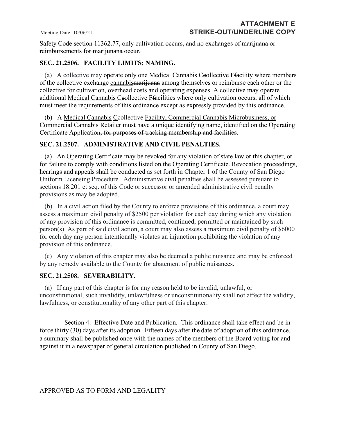Safety Code section 11362.77, only cultivation occurs, and no exchanges of marijuana or reimbursements for marijunana occur.

#### **SEC. 21.2506. FACILITY LIMITS; NAMING.**

(a) A collective may operate only one Medical Cannabis Ceollective  $F$  facility where members of the collective exchange cannabismarijuana among themselves or reimburse each other or the collective for cultivation, overhead costs and operating expenses. A collective may operate additional Medical Cannabis Ceollective Ffacilities where only cultivation occurs, all of which must meet the requirements of this ordinance except as expressly provided by this ordinance.

 (b) A Medical Cannabis Ccollective Facility, Commercial Cannabis Microbusiness, or Commercial Cannabis Retailer must have a unique identifying name, identified on the Operating Certificate Application, for purposes of tracking membership and facilities.

#### **SEC. 21.2507. ADMINISTRATIVE AND CIVIL PENALTIES.**

 (a) An Operating Certificate may be revoked for any violation of state law or this chapter, or for failure to comply with conditions listed on the Operating Certificate. Revocation proceedings, hearings and appeals shall be conducted as set forth in Chapter 1 of the County of San Diego Uniform Licensing Procedure. Administrative civil penalties shall be assessed pursuant to sections 18.201 et seq. of this Code or successor or amended administrative civil penalty provisions as may be adopted.

 (b) In a civil action filed by the County to enforce provisions of this ordinance, a court may assess a maximum civil penalty of \$2500 per violation for each day during which any violation of any provision of this ordinance is committed, continued, permitted or maintained by such person(s). As part of said civil action, a court may also assess a maximum civil penalty of \$6000 for each day any person intentionally violates an injunction prohibiting the violation of any provision of this ordinance.

 (c) Any violation of this chapter may also be deemed a public nuisance and may be enforced by any remedy available to the County for abatement of public nuisances.

#### **SEC. 21.2508. SEVERABILITY.**

 (a) If any part of this chapter is for any reason held to be invalid, unlawful, or unconstitutional, such invalidity, unlawfulness or unconstitutionality shall not affect the validity, lawfulness, or constitutionality of any other part of this chapter.

Section 4. Effective Date and Publication. This ordinance shall take effect and be in force thirty (30) days after its adoption. Fifteen days after the date of adoption of this ordinance, a summary shall be published once with the names of the members of the Board voting for and against it in a newspaper of general circulation published in County of San Diego.